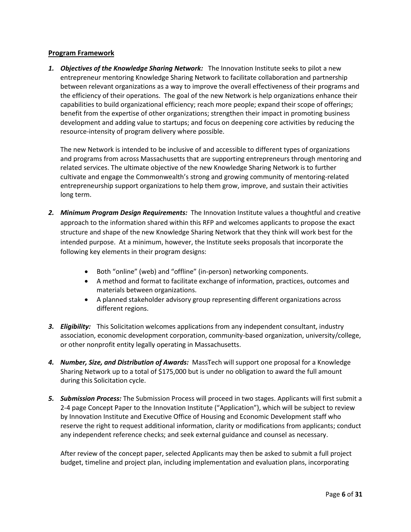# **Program Framework**

*1. Objectives of the Knowledge Sharing Network:* The Innovation Institute seeks to pilot a new entrepreneur mentoring Knowledge Sharing Network to facilitate collaboration and partnership between relevant organizations as a way to improve the overall effectiveness of their programs and the efficiency of their operations. The goal of the new Network is help organizations enhance their capabilities to build organizational efficiency; reach more people; expand their scope of offerings; benefit from the expertise of other organizations; strengthen their impact in promoting business development and adding value to startups; and focus on deepening core activities by reducing the resource-intensity of program delivery where possible.

The new Network is intended to be inclusive of and accessible to different types of organizations and programs from across Massachusetts that are supporting entrepreneurs through mentoring and related services. The ultimate objective of the new Knowledge Sharing Network is to further cultivate and engage the Commonwealth's strong and growing community of mentoring-related entrepreneurship support organizations to help them grow, improve, and sustain their activities long term.

- 2. Minimum Program Design Requirements: The Innovation Institute values a thoughtful and creative approach to the information shared within this RFP and welcomes applicants to propose the exact structure and shape of the new Knowledge Sharing Network that they think will work best for the intended purpose. At a minimum, however, the Institute seeks proposals that incorporate the following key elements in their program designs:
	- Both "online" (web) and "offline" (in-person) networking components.
	- A method and format to facilitate exchange of information, practices, outcomes and materials between organizations.
	- A planned stakeholder advisory group representing different organizations across different regions.
- *3. Eligibility:* This Solicitation welcomes applications from any independent consultant, industry association, economic development corporation, community-based organization, university/college, or other nonprofit entity legally operating in Massachusetts.
- *4. Number, Size, and Distribution of Awards:* MassTech will support one proposal for a Knowledge Sharing Network up to a total of \$175,000 but is under no obligation to award the full amount during this Solicitation cycle.
- *5. Submission Process:* The Submission Process will proceed in two stages. Applicants will first submit a 2-4 page Concept Paper to the Innovation Institute ("Application"), which will be subject to review by Innovation Institute and Executive Office of Housing and Economic Development staff who reserve the right to request additional information, clarity or modifications from applicants; conduct any independent reference checks; and seek external guidance and counsel as necessary.

After review of the concept paper, selected Applicants may then be asked to submit a full project budget, timeline and project plan, including implementation and evaluation plans, incorporating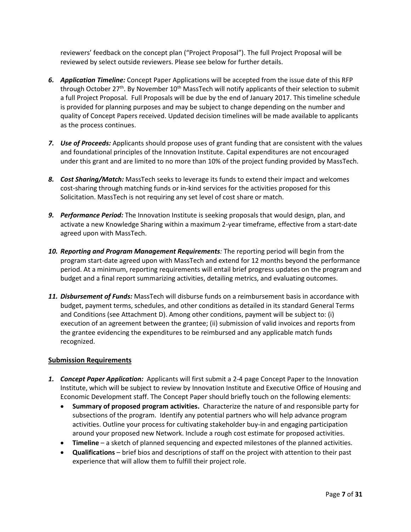reviewers' feedback on the concept plan ("Project Proposal"). The full Project Proposal will be reviewed by select outside reviewers. Please see below for further details.

- *6. Application Timeline:* Concept Paper Applications will be accepted from the issue date of this RFP through October  $27^{th}$ . By November  $10^{th}$  MassTech will notify applicants of their selection to submit a full Project Proposal. Full Proposals will be due by the end of January 2017. This timeline schedule is provided for planning purposes and may be subject to change depending on the number and quality of Concept Papers received. Updated decision timelines will be made available to applicants as the process continues.
- *7. Use of Proceeds:* Applicants should propose uses of grant funding that are consistent with the values and foundational principles of the Innovation Institute. Capital expenditures are not encouraged under this grant and are limited to no more than 10% of the project funding provided by MassTech.
- *8. Cost Sharing/Match:* MassTech seeks to leverage its funds to extend their impact and welcomes cost-sharing through matching funds or in-kind services for the activities proposed for this Solicitation. MassTech is not requiring any set level of cost share or match.
- *9. Performance Period:* The Innovation Institute is seeking proposals that would design, plan, and activate a new Knowledge Sharing within a maximum 2-year timeframe, effective from a start-date agreed upon with MassTech.
- *10. Reporting and Program Management Requirements:* The reporting period will begin from the program start-date agreed upon with MassTech and extend for 12 months beyond the performance period. At a minimum, reporting requirements will entail brief progress updates on the program and budget and a final report summarizing activities, detailing metrics, and evaluating outcomes.
- *11. Disbursement of Funds:* MassTech will disburse funds on a reimbursement basis in accordance with budget, payment terms, schedules, and other conditions as detailed in its standard General Terms and Conditions (see Attachment D). Among other conditions, payment will be subject to: (i) execution of an agreement between the grantee; (ii) submission of valid invoices and reports from the grantee evidencing the expenditures to be reimbursed and any applicable match funds recognized.

# **Submission Requirements**

- *1. Concept Paper Application:* Applicants will first submit a 2-4 page Concept Paper to the Innovation Institute, which will be subject to review by Innovation Institute and Executive Office of Housing and Economic Development staff. The Concept Paper should briefly touch on the following elements:
	- **Summary of proposed program activities.** Characterize the nature of and responsible party for subsections of the program. Identify any potential partners who will help advance program activities. Outline your process for cultivating stakeholder buy-in and engaging participation around your proposed new Network. Include a rough cost estimate for proposed activities.
	- **Timeline** a sketch of planned sequencing and expected milestones of the planned activities.
	- **Qualifications** brief bios and descriptions of staff on the project with attention to their past experience that will allow them to fulfill their project role.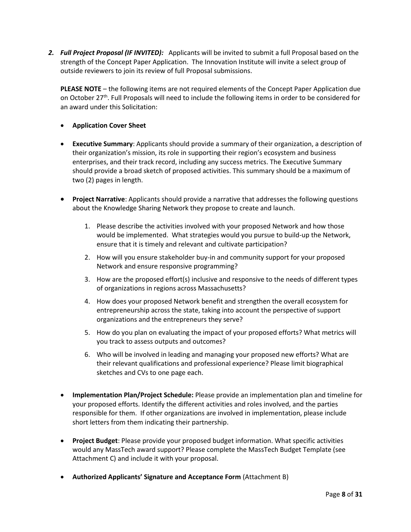*2. Full Project Proposal (IF INVITED):* Applicants will be invited to submit a full Proposal based on the strength of the Concept Paper Application. The Innovation Institute will invite a select group of outside reviewers to join its review of full Proposal submissions.

**PLEASE NOTE** – the following items are not required elements of the Concept Paper Application due on October 27<sup>th</sup>. Full Proposals will need to include the following items in order to be considered for an award under this Solicitation:

- **Application Cover Sheet**
- **Executive Summary**: Applicants should provide a summary of their organization, a description of their organization's mission, its role in supporting their region's ecosystem and business enterprises, and their track record, including any success metrics. The Executive Summary should provide a broad sketch of proposed activities. This summary should be a maximum of two (2) pages in length.
- **Project Narrative**: Applicants should provide a narrative that addresses the following questions about the Knowledge Sharing Network they propose to create and launch.
	- 1. Please describe the activities involved with your proposed Network and how those would be implemented. What strategies would you pursue to build-up the Network, ensure that it is timely and relevant and cultivate participation?
	- 2. How will you ensure stakeholder buy-in and community support for your proposed Network and ensure responsive programming?
	- 3. How are the proposed effort(s) inclusive and responsive to the needs of different types of organizations in regions across Massachusetts?
	- 4. How does your proposed Network benefit and strengthen the overall ecosystem for entrepreneurship across the state, taking into account the perspective of support organizations and the entrepreneurs they serve?
	- 5. How do you plan on evaluating the impact of your proposed efforts? What metrics will you track to assess outputs and outcomes?
	- 6. Who will be involved in leading and managing your proposed new efforts? What are their relevant qualifications and professional experience? Please limit biographical sketches and CVs to one page each.
- **Implementation Plan/Project Schedule:** Please provide an implementation plan and timeline for your proposed efforts. Identify the different activities and roles involved, and the parties responsible for them. If other organizations are involved in implementation, please include short letters from them indicating their partnership.
- **Project Budget**: Please provide your proposed budget information. What specific activities would any MassTech award support? Please complete the MassTech Budget Template (see Attachment C) and include it with your proposal.
- **Authorized Applicants' Signature and Acceptance Form** (Attachment B)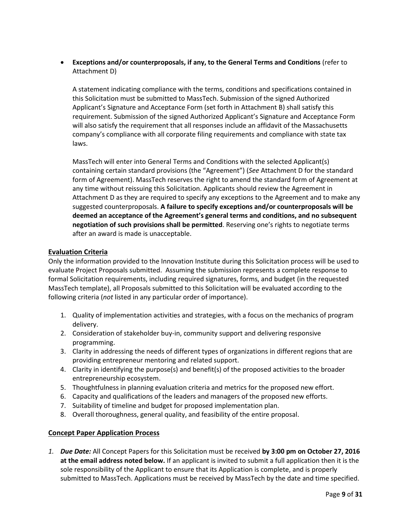**Exceptions and/or counterproposals, if any, to the General Terms and Conditions** (refer to Attachment D)

A statement indicating compliance with the terms, conditions and specifications contained in this Solicitation must be submitted to MassTech. Submission of the signed Authorized Applicant's Signature and Acceptance Form (set forth in Attachment B) shall satisfy this requirement. Submission of the signed Authorized Applicant's Signature and Acceptance Form will also satisfy the requirement that all responses include an affidavit of the Massachusetts company's compliance with all corporate filing requirements and compliance with state tax laws.

MassTech will enter into General Terms and Conditions with the selected Applicant(s) containing certain standard provisions (the "Agreement") (*See* Attachment D for the standard form of Agreement). MassTech reserves the right to amend the standard form of Agreement at any time without reissuing this Solicitation. Applicants should review the Agreement in Attachment D as they are required to specify any exceptions to the Agreement and to make any suggested counterproposals. **A failure to specify exceptions and/or counterproposals will be deemed an acceptance of the Agreement's general terms and conditions, and no subsequent negotiation of such provisions shall be permitted**. Reserving one's rights to negotiate terms after an award is made is unacceptable.

# **Evaluation Criteria**

Only the information provided to the Innovation Institute during this Solicitation process will be used to evaluate Project Proposals submitted. Assuming the submission represents a complete response to formal Solicitation requirements, including required signatures, forms, and budget (in the requested MassTech template), all Proposals submitted to this Solicitation will be evaluated according to the following criteria (*not* listed in any particular order of importance).

- 1. Quality of implementation activities and strategies, with a focus on the mechanics of program delivery.
- 2. Consideration of stakeholder buy-in, community support and delivering responsive programming.
- 3. Clarity in addressing the needs of different types of organizations in different regions that are providing entrepreneur mentoring and related support.
- 4. Clarity in identifying the purpose(s) and benefit(s) of the proposed activities to the broader entrepreneurship ecosystem.
- 5. Thoughtfulness in planning evaluation criteria and metrics for the proposed new effort.
- 6. Capacity and qualifications of the leaders and managers of the proposed new efforts.
- 7. Suitability of timeline and budget for proposed implementation plan.
- 8. Overall thoroughness, general quality, and feasibility of the entire proposal.

# **Concept Paper Application Process**

*1. Due Date:* All Concept Papers for this Solicitation must be received **by 3:00 pm on October 27, 2016 at the email address noted below.** If an applicant is invited to submit a full application then it is the sole responsibility of the Applicant to ensure that its Application is complete, and is properly submitted to MassTech. Applications must be received by MassTech by the date and time specified.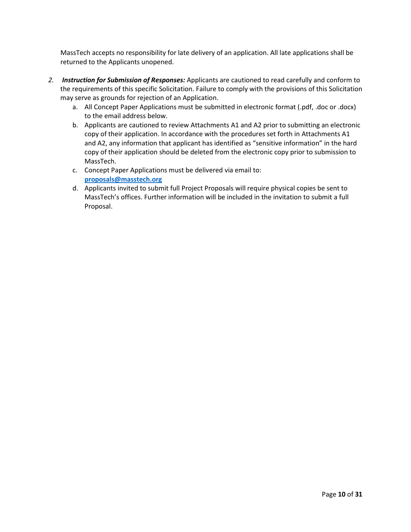MassTech accepts no responsibility for late delivery of an application. All late applications shall be returned to the Applicants unopened.

- *2. Instruction for Submission of Responses:* Applicants are cautioned to read carefully and conform to the requirements of this specific Solicitation. Failure to comply with the provisions of this Solicitation may serve as grounds for rejection of an Application.
	- a. All Concept Paper Applications must be submitted in electronic format (.pdf, .doc or .docx) to the email address below.
	- b. Applicants are cautioned to review Attachments A1 and A2 prior to submitting an electronic copy of their application. In accordance with the procedures set forth in Attachments A1 and A2, any information that applicant has identified as "sensitive information" in the hard copy of their application should be deleted from the electronic copy prior to submission to MassTech.
	- c. Concept Paper Applications must be delivered via email to: **[proposals@masstech.org](mailto:fields@masstech.org)**
	- d. Applicants invited to submit full Project Proposals will require physical copies be sent to MassTech's offices. Further information will be included in the invitation to submit a full Proposal.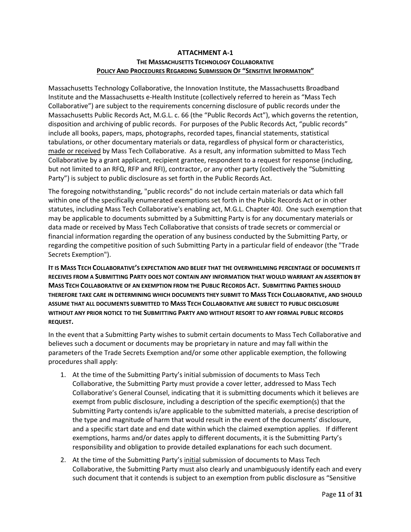# **ATTACHMENT A-1 THE MASSACHUSETTS TECHNOLOGY COLLABORATIVE POLICY AND PROCEDURES REGARDING SUBMISSION OF "SENSITIVE INFORMATION"**

Massachusetts Technology Collaborative, the Innovation Institute, the Massachusetts Broadband Institute and the Massachusetts e-Health Institute (collectively referred to herein as "Mass Tech Collaborative") are subject to the requirements concerning disclosure of public records under the Massachusetts Public Records Act, M.G.L. c. 66 (the "Public Records Act"), which governs the retention, disposition and archiving of public records. For purposes of the Public Records Act, "public records" include all books, papers, maps, photographs, recorded tapes, financial statements, statistical tabulations, or other documentary materials or data, regardless of physical form or characteristics, made or received by Mass Tech Collaborative. As a result, any information submitted to Mass Tech Collaborative by a grant applicant, recipient grantee, respondent to a request for response (including, but not limited to an RFQ, RFP and RFI), contractor, or any other party (collectively the "Submitting Party") is subject to public disclosure as set forth in the Public Records Act.

The foregoing notwithstanding, "public records" do not include certain materials or data which fall within one of the specifically enumerated exemptions set forth in the Public Records Act or in other statutes, including Mass Tech Collaborative's enabling act, M.G.L. Chapter 40J. One such exemption that may be applicable to documents submitted by a Submitting Party is for any documentary materials or data made or received by Mass Tech Collaborative that consists of trade secrets or commercial or financial information regarding the operation of any business conducted by the Submitting Party, or regarding the competitive position of such Submitting Party in a particular field of endeavor (the "Trade Secrets Exemption").

**IT IS MASS TECH COLLABORATIVE'S EXPECTATION AND BELIEF THAT THE OVERWHELMING PERCENTAGE OF DOCUMENTS IT RECEIVES FROM A SUBMITTING PARTY DOES NOT CONTAIN ANY INFORMATION THAT WOULD WARRANT AN ASSERTION BY MASS TECH COLLABORATIVE OF AN EXEMPTION FROM THE PUBLIC RECORDS ACT. SUBMITTING PARTIES SHOULD THEREFORE TAKE CARE IN DETERMINING WHICH DOCUMENTS THEY SUBMIT TO MASS TECH COLLABORATIVE, AND SHOULD ASSUME THAT ALL DOCUMENTS SUBMITTED TO MASS TECH COLLABORATIVE ARE SUBJECT TO PUBLIC DISCLOSURE WITHOUT ANY PRIOR NOTICE TO THE SUBMITTING PARTY AND WITHOUT RESORT TO ANY FORMAL PUBLIC RECORDS REQUEST.**

In the event that a Submitting Party wishes to submit certain documents to Mass Tech Collaborative and believes such a document or documents may be proprietary in nature and may fall within the parameters of the Trade Secrets Exemption and/or some other applicable exemption, the following procedures shall apply:

- 1. At the time of the Submitting Party's initial submission of documents to Mass Tech Collaborative, the Submitting Party must provide a cover letter, addressed to Mass Tech Collaborative's General Counsel, indicating that it is submitting documents which it believes are exempt from public disclosure, including a description of the specific exemption(s) that the Submitting Party contends is/are applicable to the submitted materials, a precise description of the type and magnitude of harm that would result in the event of the documents' disclosure, and a specific start date and end date within which the claimed exemption applies. If different exemptions, harms and/or dates apply to different documents, it is the Submitting Party's responsibility and obligation to provide detailed explanations for each such document.
- 2. At the time of the Submitting Party's initial submission of documents to Mass Tech Collaborative, the Submitting Party must also clearly and unambiguously identify each and every such document that it contends is subject to an exemption from public disclosure as "Sensitive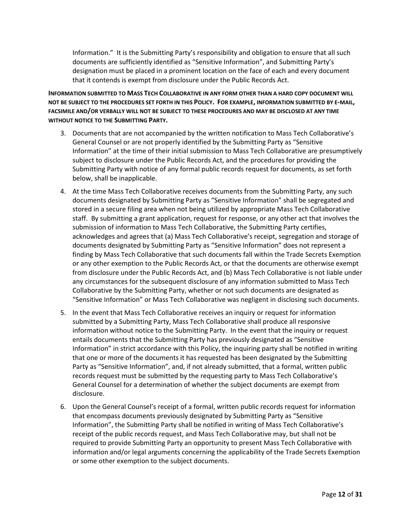Information." It is the Submitting Party's responsibility and obligation to ensure that all such documents are sufficiently identified as "Sensitive Information", and Submitting Party's designation must be placed in a prominent location on the face of each and every document that it contends is exempt from disclosure under the Public Records Act.

**INFORMATION SUBMITTED TO MASS TECH COLLABORATIVE IN ANY FORM OTHER THAN A HARD COPY DOCUMENT WILL NOT BE SUBJECT TO THE PROCEDURES SET FORTH IN THIS POLICY. FOR EXAMPLE, INFORMATION SUBMITTED BY E-MAIL, FACSIMILE AND/OR VERBALLY WILL NOT BE SUBJECT TO THESE PROCEDURES AND MAY BE DISCLOSED AT ANY TIME WITHOUT NOTICE TO THE SUBMITTING PARTY.** 

- 3. Documents that are not accompanied by the written notification to Mass Tech Collaborative's General Counsel or are not properly identified by the Submitting Party as "Sensitive Information" at the time of their initial submission to Mass Tech Collaborative are presumptively subject to disclosure under the Public Records Act, and the procedures for providing the Submitting Party with notice of any formal public records request for documents, as set forth below, shall be inapplicable.
- 4. At the time Mass Tech Collaborative receives documents from the Submitting Party, any such documents designated by Submitting Party as "Sensitive Information" shall be segregated and stored in a secure filing area when not being utilized by appropriate Mass Tech Collaborative staff. By submitting a grant application, request for response, or any other act that involves the submission of information to Mass Tech Collaborative, the Submitting Party certifies, acknowledges and agrees that (a) Mass Tech Collaborative's receipt, segregation and storage of documents designated by Submitting Party as "Sensitive Information" does not represent a finding by Mass Tech Collaborative that such documents fall within the Trade Secrets Exemption or any other exemption to the Public Records Act, or that the documents are otherwise exempt from disclosure under the Public Records Act, and (b) Mass Tech Collaborative is not liable under any circumstances for the subsequent disclosure of any information submitted to Mass Tech Collaborative by the Submitting Party, whether or not such documents are designated as "Sensitive Information" or Mass Tech Collaborative was negligent in disclosing such documents.
- 5. In the event that Mass Tech Collaborative receives an inquiry or request for information submitted by a Submitting Party, Mass Tech Collaborative shall produce all responsive information without notice to the Submitting Party. In the event that the inquiry or request entails documents that the Submitting Party has previously designated as "Sensitive Information" in strict accordance with this Policy, the inquiring party shall be notified in writing that one or more of the documents it has requested has been designated by the Submitting Party as "Sensitive Information", and, if not already submitted, that a formal, written public records request must be submitted by the requesting party to Mass Tech Collaborative's General Counsel for a determination of whether the subject documents are exempt from disclosure.
- 6. Upon the General Counsel's receipt of a formal, written public records request for information that encompass documents previously designated by Submitting Party as "Sensitive Information", the Submitting Party shall be notified in writing of Mass Tech Collaborative's receipt of the public records request, and Mass Tech Collaborative may, but shall not be required to provide Submitting Party an opportunity to present Mass Tech Collaborative with information and/or legal arguments concerning the applicability of the Trade Secrets Exemption or some other exemption to the subject documents.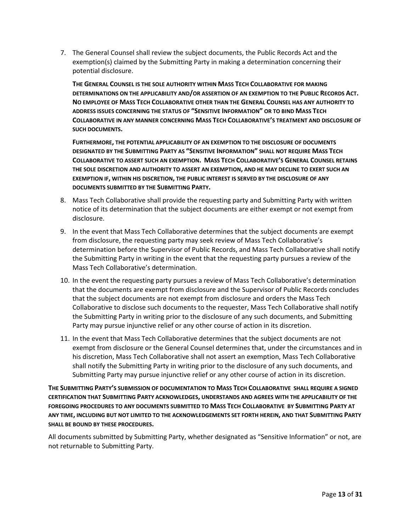7. The General Counsel shall review the subject documents, the Public Records Act and the exemption(s) claimed by the Submitting Party in making a determination concerning their potential disclosure.

**THE GENERAL COUNSEL IS THE SOLE AUTHORITY WITHIN MASS TECH COLLABORATIVE FOR MAKING DETERMINATIONS ON THE APPLICABILITY AND/OR ASSERTION OF AN EXEMPTION TO THE PUBLIC RECORDS ACT. NO EMPLOYEE OF MASS TECH COLLABORATIVE OTHER THAN THE GENERAL COUNSEL HAS ANY AUTHORITY TO ADDRESS ISSUES CONCERNING THE STATUS OF "SENSITIVE INFORMATION" OR TO BIND MASS TECH COLLABORATIVE IN ANY MANNER CONCERNING MASS TECH COLLABORATIVE'S TREATMENT AND DISCLOSURE OF SUCH DOCUMENTS.** 

 **FURTHERMORE, THE POTENTIAL APPLICABILITY OF AN EXEMPTION TO THE DISCLOSURE OF DOCUMENTS DESIGNATED BY THE SUBMITTING PARTY AS "SENSITIVE INFORMATION" SHALL NOT REQUIRE MASS TECH COLLABORATIVE TO ASSERT SUCH AN EXEMPTION. MASS TECH COLLABORATIVE'S GENERAL COUNSEL RETAINS THE SOLE DISCRETION AND AUTHORITY TO ASSERT AN EXEMPTION, AND HE MAY DECLINE TO EXERT SUCH AN EXEMPTION IF, WITHIN HIS DISCRETION, THE PUBLIC INTEREST IS SERVED BY THE DISCLOSURE OF ANY DOCUMENTS SUBMITTED BY THE SUBMITTING PARTY.**

- 8. Mass Tech Collaborative shall provide the requesting party and Submitting Party with written notice of its determination that the subject documents are either exempt or not exempt from disclosure.
- 9. In the event that Mass Tech Collaborative determines that the subject documents are exempt from disclosure, the requesting party may seek review of Mass Tech Collaborative's determination before the Supervisor of Public Records, and Mass Tech Collaborative shall notify the Submitting Party in writing in the event that the requesting party pursues a review of the Mass Tech Collaborative's determination.
- 10. In the event the requesting party pursues a review of Mass Tech Collaborative's determination that the documents are exempt from disclosure and the Supervisor of Public Records concludes that the subject documents are not exempt from disclosure and orders the Mass Tech Collaborative to disclose such documents to the requester, Mass Tech Collaborative shall notify the Submitting Party in writing prior to the disclosure of any such documents, and Submitting Party may pursue injunctive relief or any other course of action in its discretion.
- 11. In the event that Mass Tech Collaborative determines that the subject documents are not exempt from disclosure or the General Counsel determines that, under the circumstances and in his discretion, Mass Tech Collaborative shall not assert an exemption, Mass Tech Collaborative shall notify the Submitting Party in writing prior to the disclosure of any such documents, and Submitting Party may pursue injunctive relief or any other course of action in its discretion.

**THE SUBMITTING PARTY'S SUBMISSION OF DOCUMENTATION TO MASS TECH COLLABORATIVE SHALL REQUIRE A SIGNED CERTIFICATION THAT SUBMITTING PARTY ACKNOWLEDGES, UNDERSTANDS AND AGREES WITH THE APPLICABILITY OF THE FOREGOING PROCEDURES TO ANY DOCUMENTS SUBMITTED TO MASS TECH COLLABORATIVE BY SUBMITTING PARTY AT ANY TIME, INCLUDING BUT NOT LIMITED TO THE ACKNOWLEDGEMENTS SET FORTH HEREIN, AND THAT SUBMITTING PARTY SHALL BE BOUND BY THESE PROCEDURES.** 

All documents submitted by Submitting Party, whether designated as "Sensitive Information" or not, are not returnable to Submitting Party.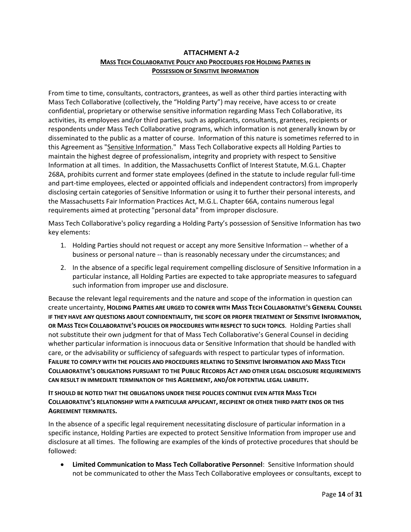# **ATTACHMENT A-2 MASS TECH COLLABORATIVE POLICY AND PROCEDURES FOR HOLDING PARTIES IN POSSESSION OF SENSITIVE INFORMATION**

From time to time, consultants, contractors, grantees, as well as other third parties interacting with Mass Tech Collaborative (collectively, the "Holding Party") may receive, have access to or create confidential, proprietary or otherwise sensitive information regarding Mass Tech Collaborative, its activities, its employees and/or third parties, such as applicants, consultants, grantees, recipients or respondents under Mass Tech Collaborative programs, which information is not generally known by or disseminated to the public as a matter of course. Information of this nature is sometimes referred to in this Agreement as "Sensitive Information." Mass Tech Collaborative expects all Holding Parties to maintain the highest degree of professionalism, integrity and propriety with respect to Sensitive Information at all times. In addition, the Massachusetts Conflict of Interest Statute, M.G.L. Chapter 268A, prohibits current and former state employees (defined in the statute to include regular full-time and part-time employees, elected or appointed officials and independent contractors) from improperly disclosing certain categories of Sensitive Information or using it to further their personal interests, and the Massachusetts Fair Information Practices Act, M.G.L. Chapter 66A, contains numerous legal requirements aimed at protecting "personal data" from improper disclosure.

Mass Tech Collaborative's policy regarding a Holding Party's possession of Sensitive Information has two key elements:

- 1. Holding Parties should not request or accept any more Sensitive Information -- whether of a business or personal nature -- than is reasonably necessary under the circumstances; and
- 2. In the absence of a specific legal requirement compelling disclosure of Sensitive Information in a particular instance, all Holding Parties are expected to take appropriate measures to safeguard such information from improper use and disclosure.

Because the relevant legal requirements and the nature and scope of the information in question can create uncertainty, **HOLDING PARTIES ARE URGED TO CONFER WITH MASS TECH COLLABORATIVE'S GENERAL COUNSEL IF THEY HAVE ANY QUESTIONS ABOUT CONFIDENTIALITY, THE SCOPE OR PROPER TREATMENT OF SENSITIVE INFORMATION, OR MASS TECH COLLABORATIVE'S POLICIES OR PROCEDURES WITH RESPECT TO SUCH TOPICS**. Holding Parties shall not substitute their own judgment for that of Mass Tech Collaborative's General Counsel in deciding whether particular information is innocuous data or Sensitive Information that should be handled with care, or the advisability or sufficiency of safeguards with respect to particular types of information. **FAILURE TO COMPLY WITH THE POLICIES AND PROCEDURES RELATING TO SENSITIVE INFORMATION AND MASS TECH COLLABORATIVE'S OBLIGATIONS PURSUANT TO THE PUBLIC RECORDS ACT AND OTHER LEGAL DISCLOSURE REQUIREMENTS CAN RESULT IN IMMEDIATE TERMINATION OF THIS AGREEMENT, AND/OR POTENTIAL LEGAL LIABILITY.**

**IT SHOULD BE NOTED THAT THE OBLIGATIONS UNDER THESE POLICIES CONTINUE EVEN AFTER MASS TECH COLLABORATIVE'S RELATIONSHIP WITH A PARTICULAR APPLICANT, RECIPIENT OR OTHER THIRD PARTY ENDS OR THIS AGREEMENT TERMINATES.**

In the absence of a specific legal requirement necessitating disclosure of particular information in a specific instance, Holding Parties are expected to protect Sensitive Information from improper use and disclosure at all times. The following are examples of the kinds of protective procedures that should be followed:

 **Limited Communication to Mass Tech Collaborative Personnel**: Sensitive Information should not be communicated to other the Mass Tech Collaborative employees or consultants, except to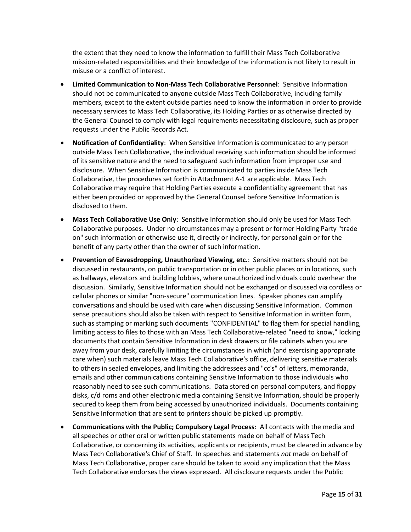the extent that they need to know the information to fulfill their Mass Tech Collaborative mission-related responsibilities and their knowledge of the information is not likely to result in misuse or a conflict of interest.

- **Limited Communication to Non-Mass Tech Collaborative Personnel**: Sensitive Information should not be communicated to anyone outside Mass Tech Collaborative, including family members, except to the extent outside parties need to know the information in order to provide necessary services to Mass Tech Collaborative, its Holding Parties or as otherwise directed by the General Counsel to comply with legal requirements necessitating disclosure, such as proper requests under the Public Records Act.
- **Notification of Confidentiality**: When Sensitive Information is communicated to any person outside Mass Tech Collaborative, the individual receiving such information should be informed of its sensitive nature and the need to safeguard such information from improper use and disclosure. When Sensitive Information is communicated to parties inside Mass Tech Collaborative, the procedures set forth in Attachment A-1 are applicable. Mass Tech Collaborative may require that Holding Parties execute a confidentiality agreement that has either been provided or approved by the General Counsel before Sensitive Information is disclosed to them.
- **Mass Tech Collaborative Use Only**: Sensitive Information should only be used for Mass Tech Collaborative purposes. Under no circumstances may a present or former Holding Party "trade on" such information or otherwise use it, directly or indirectly, for personal gain or for the benefit of any party other than the owner of such information.
- **Prevention of Eavesdropping, Unauthorized Viewing, etc.**: Sensitive matters should not be discussed in restaurants, on public transportation or in other public places or in locations, such as hallways, elevators and building lobbies, where unauthorized individuals could overhear the discussion. Similarly, Sensitive Information should not be exchanged or discussed via cordless or cellular phones or similar "non-secure" communication lines. Speaker phones can amplify conversations and should be used with care when discussing Sensitive Information. Common sense precautions should also be taken with respect to Sensitive Information in written form, such as stamping or marking such documents "CONFIDENTIAL" to flag them for special handling, limiting access to files to those with an Mass Tech Collaborative-related "need to know," locking documents that contain Sensitive Information in desk drawers or file cabinets when you are away from your desk, carefully limiting the circumstances in which (and exercising appropriate care when) such materials leave Mass Tech Collaborative's office, delivering sensitive materials to others in sealed envelopes, and limiting the addressees and "cc's" of letters, memoranda, emails and other communications containing Sensitive Information to those individuals who reasonably need to see such communications. Data stored on personal computers, and floppy disks, c/d roms and other electronic media containing Sensitive Information, should be properly secured to keep them from being accessed by unauthorized individuals. Documents containing Sensitive Information that are sent to printers should be picked up promptly.
- **Communications with the Public; Compulsory Legal Process**: All contacts with the media and all speeches or other oral or written public statements made on behalf of Mass Tech Collaborative, or concerning its activities, applicants or recipients, must be cleared in advance by Mass Tech Collaborative's Chief of Staff. In speeches and statements *not* made on behalf of Mass Tech Collaborative, proper care should be taken to avoid any implication that the Mass Tech Collaborative endorses the views expressed. All disclosure requests under the Public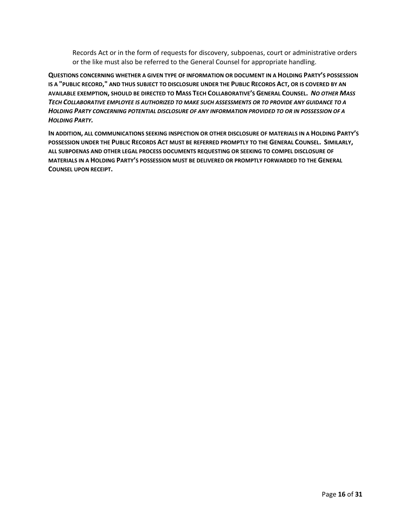Records Act or in the form of requests for discovery, subpoenas, court or administrative orders or the like must also be referred to the General Counsel for appropriate handling.

**QUESTIONS CONCERNING WHETHER A GIVEN TYPE OF INFORMATION OR DOCUMENT IN A HOLDING PARTY'S POSSESSION IS A "PUBLIC RECORD," AND THUS SUBJECT TO DISCLOSURE UNDER THE PUBLIC RECORDS ACT, OR IS COVERED BY AN**  AVAILABLE EXEMPTION, SHOULD BE DIRECTED TO MASS TECH COLLABORATIVE'S GENERAL COUNSEL. NO OTHER MASS *TECH COLLABORATIVE EMPLOYEE IS AUTHORIZED TO MAKE SUCH ASSESSMENTS OR TO PROVIDE ANY GUIDANCE TO A HOLDING PARTY CONCERNING POTENTIAL DISCLOSURE OF ANY INFORMATION PROVIDED TO OR IN POSSESSION OF A HOLDING PARTY.*

**IN ADDITION, ALL COMMUNICATIONS SEEKING INSPECTION OR OTHER DISCLOSURE OF MATERIALS IN A HOLDING PARTY'S POSSESSION UNDER THE PUBLIC RECORDS ACT MUST BE REFERRED PROMPTLY TO THE GENERAL COUNSEL. SIMILARLY, ALL SUBPOENAS AND OTHER LEGAL PROCESS DOCUMENTS REQUESTING OR SEEKING TO COMPEL DISCLOSURE OF MATERIALS IN A HOLDING PARTY'S POSSESSION MUST BE DELIVERED OR PROMPTLY FORWARDED TO THE GENERAL COUNSEL UPON RECEIPT.**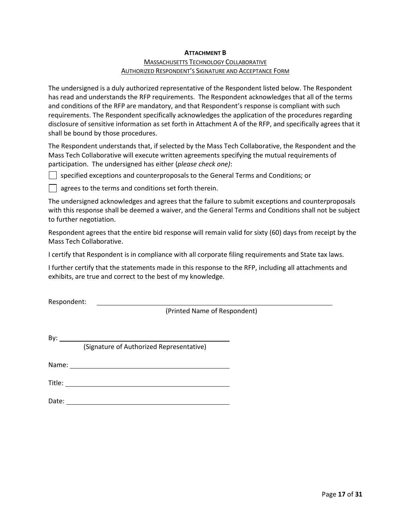#### **ATTACHMENT B**

# MASSACHUSETTS TECHNOLOGY COLLABORATIVE AUTHORIZED RESPONDENT'S SIGNATURE AND ACCEPTANCE FORM

The undersigned is a duly authorized representative of the Respondent listed below. The Respondent has read and understands the RFP requirements. The Respondent acknowledges that all of the terms and conditions of the RFP are mandatory, and that Respondent's response is compliant with such requirements. The Respondent specifically acknowledges the application of the procedures regarding disclosure of sensitive information as set forth in Attachment A of the RFP, and specifically agrees that it shall be bound by those procedures.

The Respondent understands that, if selected by the Mass Tech Collaborative, the Respondent and the Mass Tech Collaborative will execute written agreements specifying the mutual requirements of participation. The undersigned has either (*please check one)*:

specified exceptions and counterproposals to the General Terms and Conditions; or

**q** agrees to the terms and conditions set forth therein.

The undersigned acknowledges and agrees that the failure to submit exceptions and counterproposals with this response shall be deemed a waiver, and the General Terms and Conditions shall not be subject to further negotiation.

Respondent agrees that the entire bid response will remain valid for sixty (60) days from receipt by the Mass Tech Collaborative.

I certify that Respondent is in compliance with all corporate filing requirements and State tax laws.

I further certify that the statements made in this response to the RFP, including all attachments and exhibits, are true and correct to the best of my knowledge.

Respondent:

(Printed Name of Respondent)

By:

(Signature of Authorized Representative)

Name: Name and the second state of the second state of the second state of the second state of the second state of the second state of the second state of the second state of the second state of the second state of the sec

Title:

Date: when the contract of the contract of the contract of the contract of the contract of the contract of the contract of the contract of the contract of the contract of the contract of the contract of the contract of the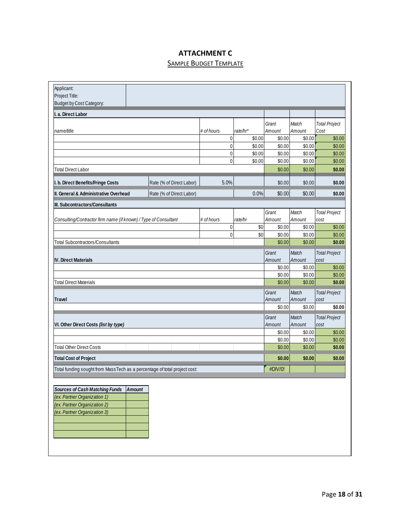# **ATTACHMENT C**

# **SAMPLE BUDGET TEMPLATE**

| Applicant:                                                                 |               |                          |             |          |                  |                  |                              |
|----------------------------------------------------------------------------|---------------|--------------------------|-------------|----------|------------------|------------------|------------------------------|
| Project Title:<br>Budget by Cost Category:                                 |               |                          |             |          |                  |                  |                              |
|                                                                            |               |                          |             |          |                  |                  |                              |
| I. a. Direct Labor                                                         |               |                          |             |          |                  |                  |                              |
|                                                                            |               |                          |             |          | Grant            | Match            | <b>Total Project</b>         |
| name/title                                                                 |               |                          | # of hours  | rate/hr* | Amount           | Amount           | Cost                         |
|                                                                            |               |                          | 0           | \$0.00   | \$0.00           | \$0.00           | \$0.00                       |
|                                                                            |               |                          | $\mathbf 0$ | \$0.00   | \$0.00           | \$0.00           | \$0.00                       |
|                                                                            |               |                          | 0           | \$0.00   | \$0.00           | \$0.00           | \$0.00                       |
|                                                                            |               |                          | 0           | \$0.00   | \$0.00           | \$0.00           | \$0.00                       |
| <b>Total Direct Labor</b>                                                  |               |                          |             |          | \$0.00           | \$0.00           | \$0.00                       |
| I. b. Direct Benefits/Fringe Costs                                         |               | Rate (% of Direct Labor) | 5.0%        |          | \$0.00           | \$0.00           | \$0.00                       |
| II. General & Administrative Overhead<br>Rate (% of Direct Labor)          |               |                          | 0.0%        | \$0.00   | \$0.00           | \$0.00           |                              |
| III. Subcontractors/Consultants                                            |               |                          |             |          |                  |                  |                              |
|                                                                            |               |                          |             |          | Grant            | Match            | <b>Total Project</b>         |
| Consulting/Contractor firm name (if known) / Type of Consultant            |               |                          | # of hours  | rate/hr  | Amount           | Amount           | cost                         |
|                                                                            |               |                          | 0           | \$0      | \$0.00           | \$0.00           | \$0.00                       |
|                                                                            |               |                          | 0           | \$0      | \$0.00           | \$0.00           | \$0.00                       |
| Total Subcontractors/Consultants                                           |               |                          |             |          | \$0.00           | \$0.00           | \$0.00                       |
|                                                                            |               |                          |             |          | Grant            | Match            | <b>Total Project</b>         |
| <b>IV. Direct Materials</b>                                                |               |                          |             |          | Amount           | Amount           | cost                         |
|                                                                            |               |                          |             |          | \$0.00           | \$0.00           | \$0.00                       |
|                                                                            |               |                          |             |          | \$0.00           | \$0.00           | \$0.00                       |
| <b>Total Direct Materials</b>                                              |               |                          |             |          |                  | \$0.00<br>\$0.00 | \$0.00                       |
|                                                                            |               |                          |             |          |                  | Match            | <b>Total Project</b>         |
| <b>Travel</b>                                                              |               |                          |             |          |                  | Amount           | cost                         |
|                                                                            |               |                          |             |          | Amount<br>\$0.00 | \$0.00           | \$0.00                       |
|                                                                            |               |                          |             |          |                  |                  |                              |
| VI. Other Direct Costs (list by type)                                      |               |                          |             |          | Grant<br>Amount  | Match<br>Amount  | <b>Total Project</b><br>cost |
|                                                                            |               |                          |             |          |                  | \$0.00           | \$0.00                       |
|                                                                            |               |                          |             |          | \$0.00<br>\$0.00 | \$0.00           | \$0.00                       |
| <b>Total Other Direct Costs</b>                                            |               |                          |             |          | \$0.00           | \$0.00           | \$0.00                       |
| <b>Total Cost of Project</b>                                               |               |                          |             |          | \$0.00           | \$0.00           | \$0.00                       |
| Total funding sought from Mass Tech as a percentage of total project cost: |               |                          |             |          |                  |                  |                              |
|                                                                            |               |                          |             |          |                  |                  |                              |
| <b>Sources of Cash Matching Funds</b>                                      | <b>Amount</b> |                          |             |          |                  |                  |                              |
| (ex. Partner Organization 1)                                               |               |                          |             |          |                  |                  |                              |
| (ex. Partner Organization 2)                                               |               |                          |             |          |                  |                  |                              |
| (ex. Partner Organization 3)                                               |               |                          |             |          |                  |                  |                              |
|                                                                            |               |                          |             |          |                  |                  |                              |
|                                                                            |               |                          |             |          |                  |                  |                              |
|                                                                            |               |                          |             |          |                  |                  |                              |
|                                                                            |               |                          |             |          |                  |                  |                              |
|                                                                            |               |                          |             |          |                  |                  |                              |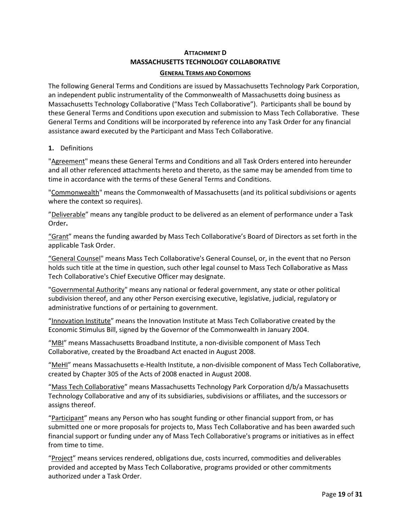# **ATTACHMENT D MASSACHUSETTS TECHNOLOGY COLLABORATIVE**

#### **GENERAL TERMS AND CONDITIONS**

The following General Terms and Conditions are issued by Massachusetts Technology Park Corporation, an independent public instrumentality of the Commonwealth of Massachusetts doing business as Massachusetts Technology Collaborative ("Mass Tech Collaborative"). Participants shall be bound by these General Terms and Conditions upon execution and submission to Mass Tech Collaborative. These General Terms and Conditions will be incorporated by reference into any Task Order for any financial assistance award executed by the Participant and Mass Tech Collaborative.

# **1.** Definitions

"Agreement" means these General Terms and Conditions and all Task Orders entered into hereunder and all other referenced attachments hereto and thereto, as the same may be amended from time to time in accordance with the terms of these General Terms and Conditions.

"Commonwealth" means the Commonwealth of Massachusetts (and its political subdivisions or agents where the context so requires).

"Deliverable" means any tangible product to be delivered as an element of performance under a Task Order**.**

"Grant" means the funding awarded by Mass Tech Collaborative's Board of Directors as set forth in the applicable Task Order.

"General Counsel" means Mass Tech Collaborative's General Counsel, or, in the event that no Person holds such title at the time in question, such other legal counsel to Mass Tech Collaborative as Mass Tech Collaborative's Chief Executive Officer may designate.

"Governmental Authority" means any national or federal government, any state or other political subdivision thereof, and any other Person exercising executive, legislative, judicial, regulatory or administrative functions of or pertaining to government.

"Innovation Institute" means the Innovation Institute at Mass Tech Collaborative created by the Economic Stimulus Bill, signed by the Governor of the Commonwealth in January 2004.

"MBI" means Massachusetts Broadband Institute, a non-divisible component of Mass Tech Collaborative, created by the Broadband Act enacted in August 2008.

"MeHI" means Massachusetts e-Health Institute, a non-divisible component of Mass Tech Collaborative, created by Chapter 305 of the Acts of 2008 enacted in August 2008.

"Mass Tech Collaborative" means Massachusetts Technology Park Corporation d/b/a Massachusetts Technology Collaborative and any of its subsidiaries, subdivisions or affiliates, and the successors or assigns thereof.

"Participant" means any Person who has sought funding or other financial support from, or has submitted one or more proposals for projects to, Mass Tech Collaborative and has been awarded such financial support or funding under any of Mass Tech Collaborative's programs or initiatives as in effect from time to time.

"Project" means services rendered, obligations due, costs incurred, commodities and deliverables provided and accepted by Mass Tech Collaborative, programs provided or other commitments authorized under a Task Order.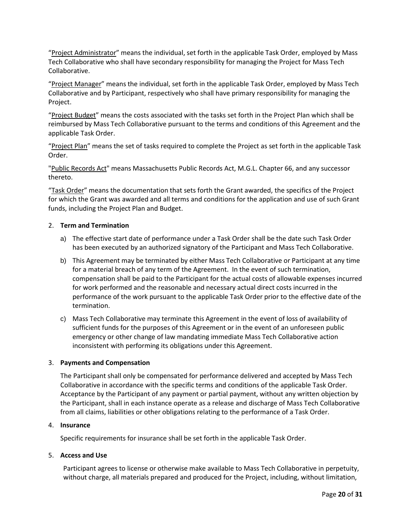"Project Administrator" means the individual, set forth in the applicable Task Order, employed by Mass Tech Collaborative who shall have secondary responsibility for managing the Project for Mass Tech Collaborative.

"Project Manager" means the individual, set forth in the applicable Task Order, employed by Mass Tech Collaborative and by Participant, respectively who shall have primary responsibility for managing the Project.

"Project Budget" means the costs associated with the tasks set forth in the Project Plan which shall be reimbursed by Mass Tech Collaborative pursuant to the terms and conditions of this Agreement and the applicable Task Order.

"Project Plan" means the set of tasks required to complete the Project as set forth in the applicable Task Order.

"Public Records Act" means Massachusetts Public Records Act, M.G.L. Chapter 66, and any successor thereto.

"Task Order" means the documentation that sets forth the Grant awarded, the specifics of the Project for which the Grant was awarded and all terms and conditions for the application and use of such Grant funds, including the Project Plan and Budget.

#### 2. **Term and Termination**

- a) The effective start date of performance under a Task Order shall be the date such Task Order has been executed by an authorized signatory of the Participant and Mass Tech Collaborative.
- b) This Agreement may be terminated by either Mass Tech Collaborative or Participant at any time for a material breach of any term of the Agreement. In the event of such termination, compensation shall be paid to the Participant for the actual costs of allowable expenses incurred for work performed and the reasonable and necessary actual direct costs incurred in the performance of the work pursuant to the applicable Task Order prior to the effective date of the termination.
- c) Mass Tech Collaborative may terminate this Agreement in the event of loss of availability of sufficient funds for the purposes of this Agreement or in the event of an unforeseen public emergency or other change of law mandating immediate Mass Tech Collaborative action inconsistent with performing its obligations under this Agreement.

#### 3. **Payments and Compensation**

The Participant shall only be compensated for performance delivered and accepted by Mass Tech Collaborative in accordance with the specific terms and conditions of the applicable Task Order. Acceptance by the Participant of any payment or partial payment, without any written objection by the Participant, shall in each instance operate as a release and discharge of Mass Tech Collaborative from all claims, liabilities or other obligations relating to the performance of a Task Order.

#### 4. **Insurance**

Specific requirements for insurance shall be set forth in the applicable Task Order.

#### 5. **Access and Use**

Participant agrees to license or otherwise make available to Mass Tech Collaborative in perpetuity, without charge, all materials prepared and produced for the Project, including, without limitation,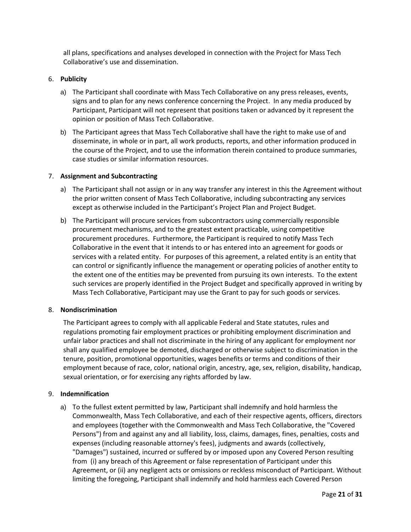all plans, specifications and analyses developed in connection with the Project for Mass Tech Collaborative's use and dissemination.

## 6. **Publicity**

- a) The Participant shall coordinate with Mass Tech Collaborative on any press releases, events, signs and to plan for any news conference concerning the Project. In any media produced by Participant, Participant will not represent that positions taken or advanced by it represent the opinion or position of Mass Tech Collaborative.
- b) The Participant agrees that Mass Tech Collaborative shall have the right to make use of and disseminate, in whole or in part, all work products, reports, and other information produced in the course of the Project, and to use the information therein contained to produce summaries, case studies or similar information resources.

#### 7. **Assignment and Subcontracting**

- a) The Participant shall not assign or in any way transfer any interest in this the Agreement without the prior written consent of Mass Tech Collaborative, including subcontracting any services except as otherwise included in the Participant's Project Plan and Project Budget.
- b) The Participant will procure services from subcontractors using commercially responsible procurement mechanisms, and to the greatest extent practicable, using competitive procurement procedures. Furthermore, the Participant is required to notify Mass Tech Collaborative in the event that it intends to or has entered into an agreement for goods or services with a related entity. For purposes of this agreement, a related entity is an entity that can control or significantly influence the management or operating policies of another entity to the extent one of the entities may be prevented from pursuing its own interests. To the extent such services are properly identified in the Project Budget and specifically approved in writing by Mass Tech Collaborative, Participant may use the Grant to pay for such goods or services.

#### 8. **Nondiscrimination**

The Participant agrees to comply with all applicable Federal and State statutes, rules and regulations promoting fair employment practices or prohibiting employment discrimination and unfair labor practices and shall not discriminate in the hiring of any applicant for employment nor shall any qualified employee be demoted, discharged or otherwise subject to discrimination in the tenure, position, promotional opportunities, wages benefits or terms and conditions of their employment because of race, color, national origin, ancestry, age, sex, religion, disability, handicap, sexual orientation, or for exercising any rights afforded by law.

#### 9. **Indemnification**

a) To the fullest extent permitted by law, Participant shall indemnify and hold harmless the Commonwealth, Mass Tech Collaborative, and each of their respective agents, officers, directors and employees (together with the Commonwealth and Mass Tech Collaborative, the "Covered Persons") from and against any and all liability, loss, claims, damages, fines, penalties, costs and expenses (including reasonable attorney's fees), judgments and awards (collectively, "Damages") sustained, incurred or suffered by or imposed upon any Covered Person resulting from (i) any breach of this Agreement or false representation of Participant under this Agreement, or (ii) any negligent acts or omissions or reckless misconduct of Participant. Without limiting the foregoing, Participant shall indemnify and hold harmless each Covered Person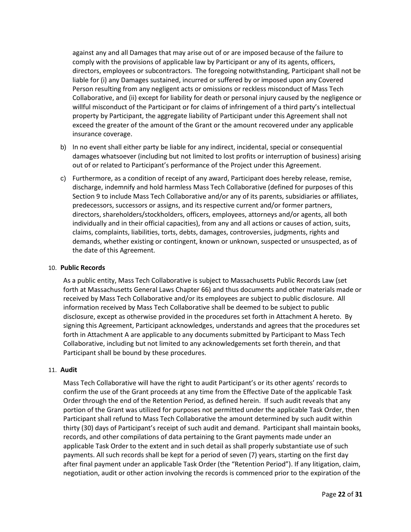against any and all Damages that may arise out of or are imposed because of the failure to comply with the provisions of applicable law by Participant or any of its agents, officers, directors, employees or subcontractors. The foregoing notwithstanding, Participant shall not be liable for (i) any Damages sustained, incurred or suffered by or imposed upon any Covered Person resulting from any negligent acts or omissions or reckless misconduct of Mass Tech Collaborative, and (ii) except for liability for death or personal injury caused by the negligence or willful misconduct of the Participant or for claims of infringement of a third party's intellectual property by Participant, the aggregate liability of Participant under this Agreement shall not exceed the greater of the amount of the Grant or the amount recovered under any applicable insurance coverage.

- b) In no event shall either party be liable for any indirect, incidental, special or consequential damages whatsoever (including but not limited to lost profits or interruption of business) arising out of or related to Participant's performance of the Project under this Agreement.
- c) Furthermore, as a condition of receipt of any award, Participant does hereby release, remise, discharge, indemnify and hold harmless Mass Tech Collaborative (defined for purposes of this Section 9 to include Mass Tech Collaborative and/or any of its parents, subsidiaries or affiliates, predecessors, successors or assigns, and its respective current and/or former partners, directors, shareholders/stockholders, officers, employees, attorneys and/or agents, all both individually and in their official capacities), from any and all actions or causes of action, suits, claims, complaints, liabilities, torts, debts, damages, controversies, judgments, rights and demands, whether existing or contingent, known or unknown, suspected or unsuspected, as of the date of this Agreement.

#### 10. **Public Records**

As a public entity, Mass Tech Collaborative is subject to Massachusetts Public Records Law (set forth at Massachusetts General Laws Chapter 66) and thus documents and other materials made or received by Mass Tech Collaborative and/or its employees are subject to public disclosure. All information received by Mass Tech Collaborative shall be deemed to be subject to public disclosure, except as otherwise provided in the procedures set forth in Attachment A hereto. By signing this Agreement, Participant acknowledges, understands and agrees that the procedures set forth in Attachment A are applicable to any documents submitted by Participant to Mass Tech Collaborative, including but not limited to any acknowledgements set forth therein, and that Participant shall be bound by these procedures.

#### 11. **Audit**

Mass Tech Collaborative will have the right to audit Participant's or its other agents' records to confirm the use of the Grant proceeds at any time from the Effective Date of the applicable Task Order through the end of the Retention Period, as defined herein. If such audit reveals that any portion of the Grant was utilized for purposes not permitted under the applicable Task Order, then Participant shall refund to Mass Tech Collaborative the amount determined by such audit within thirty (30) days of Participant's receipt of such audit and demand. Participant shall maintain books, records, and other compilations of data pertaining to the Grant payments made under an applicable Task Order to the extent and in such detail as shall properly substantiate use of such payments. All such records shall be kept for a period of seven (7) years, starting on the first day after final payment under an applicable Task Order (the "Retention Period"). If any litigation, claim, negotiation, audit or other action involving the records is commenced prior to the expiration of the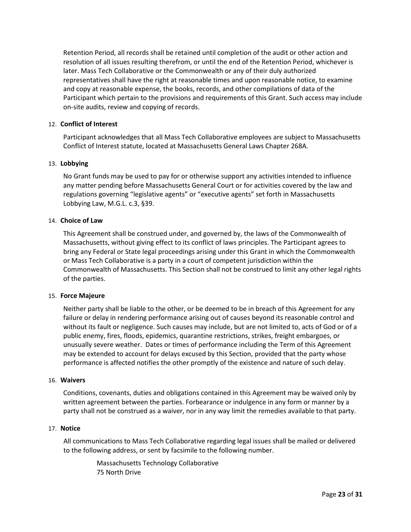Retention Period, all records shall be retained until completion of the audit or other action and resolution of all issues resulting therefrom, or until the end of the Retention Period, whichever is later. Mass Tech Collaborative or the Commonwealth or any of their duly authorized representatives shall have the right at reasonable times and upon reasonable notice, to examine and copy at reasonable expense, the books, records, and other compilations of data of the Participant which pertain to the provisions and requirements of this Grant. Such access may include on-site audits, review and copying of records.

#### 12. **Conflict of Interest**

Participant acknowledges that all Mass Tech Collaborative employees are subject to Massachusetts Conflict of Interest statute, located at Massachusetts General Laws Chapter 268A.

#### 13. **Lobbying**

No Grant funds may be used to pay for or otherwise support any activities intended to influence any matter pending before Massachusetts General Court or for activities covered by the law and regulations governing "legislative agents" or "executive agents" set forth in Massachusetts Lobbying Law, M.G.L. c.3, §39.

#### 14. **Choice of Law**

This Agreement shall be construed under, and governed by, the laws of the Commonwealth of Massachusetts, without giving effect to its conflict of laws principles. The Participant agrees to bring any Federal or State legal proceedings arising under this Grant in which the Commonwealth or Mass Tech Collaborative is a party in a court of competent jurisdiction within the Commonwealth of Massachusetts. This Section shall not be construed to limit any other legal rights of the parties.

#### 15. **Force Majeure**

Neither party shall be liable to the other, or be deemed to be in breach of this Agreement for any failure or delay in rendering performance arising out of causes beyond its reasonable control and without its fault or negligence. Such causes may include, but are not limited to, acts of God or of a public enemy, fires, floods, epidemics, quarantine restrictions, strikes, freight embargoes, or unusually severe weather. Dates or times of performance including the Term of this Agreement may be extended to account for delays excused by this Section, provided that the party whose performance is affected notifies the other promptly of the existence and nature of such delay.

#### 16. **Waivers**

Conditions, covenants, duties and obligations contained in this Agreement may be waived only by written agreement between the parties. Forbearance or indulgence in any form or manner by a party shall not be construed as a waiver, nor in any way limit the remedies available to that party.

#### 17. **Notice**

All communications to Mass Tech Collaborative regarding legal issues shall be mailed or delivered to the following address, or sent by facsimile to the following number.

> Massachusetts Technology Collaborative 75 North Drive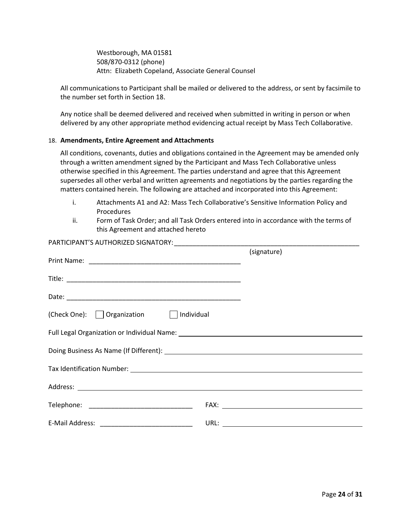Westborough, MA 01581 508/870-0312 (phone) Attn: Elizabeth Copeland, Associate General Counsel

All communications to Participant shall be mailed or delivered to the address, or sent by facsimile to the number set forth in Section 18.

Any notice shall be deemed delivered and received when submitted in writing in person or when delivered by any other appropriate method evidencing actual receipt by Mass Tech Collaborative.

#### 18. **Amendments, Entire Agreement and Attachments**

All conditions, covenants, duties and obligations contained in the Agreement may be amended only through a written amendment signed by the Participant and Mass Tech Collaborative unless otherwise specified in this Agreement. The parties understand and agree that this Agreement supersedes all other verbal and written agreements and negotiations by the parties regarding the matters contained herein. The following are attached and incorporated into this Agreement:

- i. Attachments A1 and A2: Mass Tech Collaborative's Sensitive Information Policy and Procedures
- ii. Form of Task Order; and all Task Orders entered into in accordance with the terms of this Agreement and attached hereto

|                                      | (signature) |  |  |
|--------------------------------------|-------------|--|--|
|                                      |             |  |  |
|                                      |             |  |  |
| (Check One): Organization Individual |             |  |  |
|                                      |             |  |  |
|                                      |             |  |  |
|                                      |             |  |  |
|                                      |             |  |  |
|                                      |             |  |  |
|                                      |             |  |  |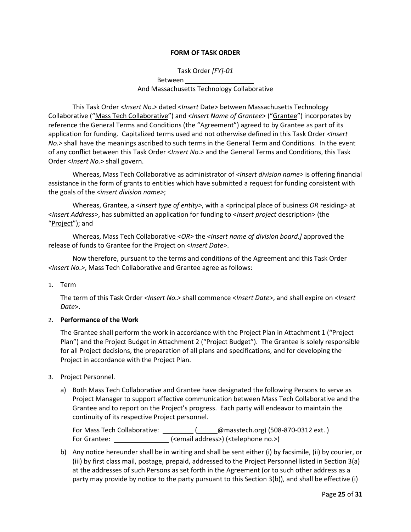## **FORM OF TASK ORDER**

# Task Order *[FY]-01* Between And Massachusetts Technology Collaborative

 This Task Order *<Insert No.>* dated <*Insert* Date> between Massachusetts Technology Collaborative ("Mass Tech Collaborative") and <*Insert Name of Grantee*> ("Grantee") incorporates by reference the General Terms and Conditions (the "Agreement") agreed to by Grantee as part of its application for funding. Capitalized terms used and not otherwise defined in this Task Order *<Insert No.>* shall have the meanings ascribed to such terms in the General Term and Conditions. In the event of any conflict between this Task Order <*Insert No.*> and the General Terms and Conditions, this Task Order <*Insert No.*> shall govern.

 Whereas, Mass Tech Collaborative as administrator of *<Insert division name>* is offering financial assistance in the form of grants to entities which have submitted a request for funding consistent with the goals of the *<insert division name>*;

Whereas, Grantee, a <*Insert type of entity>*, with a *<*principal place of business *OR* residing*>* at <*Insert Address>*, has submitted an application for funding to <*Insert project* description> (the "Project"); and

Whereas, Mass Tech Collaborative <*OR>* the *<Insert name of division board.]* approved the release of funds to Grantee for the Project on <*Insert Date*>.

Now therefore, pursuant to the terms and conditions of the Agreement and this Task Order *<Insert No.>*, Mass Tech Collaborative and Grantee agree as follows:

1. Term

The term of this Task Order *<Insert No.>* shall commence <*Insert Date*>, and shall expire on <*Insert Date*>.

#### 2. **Performance of the Work**

The Grantee shall perform the work in accordance with the Project Plan in Attachment 1 ("Project Plan") and the Project Budget in Attachment 2 ("Project Budget"). The Grantee is solely responsible for all Project decisions, the preparation of all plans and specifications, and for developing the Project in accordance with the Project Plan.

- 3. Project Personnel.
	- a) Both Mass Tech Collaborative and Grantee have designated the following Persons to serve as Project Manager to support effective communication between Mass Tech Collaborative and the Grantee and to report on the Project's progress. Each party will endeavor to maintain the continuity of its respective Project personnel.

For Mass Tech Collaborative: \_\_\_\_\_\_\_\_\_\_(\_\_\_\_\_@masstech.org) (508-870-0312 ext.) For Grantee: (<email address>) (<telephone no.>)

b) Any notice hereunder shall be in writing and shall be sent either (i) by facsimile, (ii) by courier, or (iii) by first class mail, postage, prepaid, addressed to the Project Personnel listed in Section 3(a) at the addresses of such Persons as set forth in the Agreement (or to such other address as a party may provide by notice to the party pursuant to this Section 3(b)), and shall be effective (i)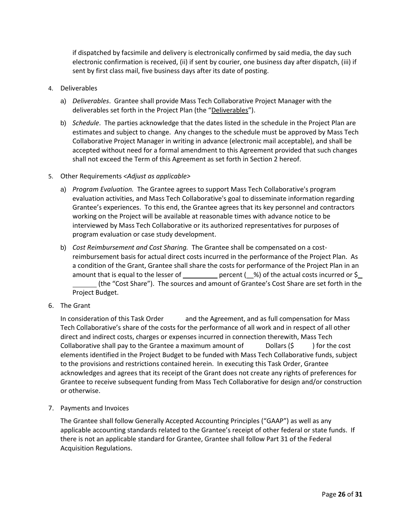if dispatched by facsimile and delivery is electronically confirmed by said media, the day such electronic confirmation is received, (ii) if sent by courier, one business day after dispatch, (iii) if sent by first class mail, five business days after its date of posting.

- 4. Deliverables
	- a) *Deliverables*. Grantee shall provide Mass Tech Collaborative Project Manager with the deliverables set forth in the Project Plan (the "Deliverables").
	- b) *Schedule*. The parties acknowledge that the dates listed in the schedule in the Project Plan are estimates and subject to change. Any changes to the schedule must be approved by Mass Tech Collaborative Project Manager in writing in advance (electronic mail acceptable), and shall be accepted without need for a formal amendment to this Agreement provided that such changes shall not exceed the Term of this Agreement as set forth in Section 2 hereof.
- 5. Other Requirements *<Adjust as applicable>*
	- a) *Program Evaluation.* The Grantee agrees to support Mass Tech Collaborative's program evaluation activities, and Mass Tech Collaborative's goal to disseminate information regarding Grantee's experiences. To this end, the Grantee agrees that its key personnel and contractors working on the Project will be available at reasonable times with advance notice to be interviewed by Mass Tech Collaborative or its authorized representatives for purposes of program evaluation or case study development.
	- b) *Cost Reimbursement and Cost Sharing.* The Grantee shall be compensated on a costreimbursement basis for actual direct costs incurred in the performance of the Project Plan. As a condition of the Grant, Grantee shall share the costs for performance of the Project Plan in an amount that is equal to the lesser of  $\rule{1em}{0.15mm}$  percent (\_%) of the actual costs incurred or \$\_ (the "Cost Share"). The sources and amount of Grantee's Cost Share are set forth in the Project Budget.
- 6. The Grant

In consideration of this Task Order and the Agreement, and as full compensation for Mass Tech Collaborative's share of the costs for the performance of all work and in respect of all other direct and indirect costs, charges or expenses incurred in connection therewith, Mass Tech Collaborative shall pay to the Grantee a maximum amount of  $\Box$  Dollars (\$) bor the cost elements identified in the Project Budget to be funded with Mass Tech Collaborative funds, subject to the provisions and restrictions contained herein. In executing this Task Order, Grantee acknowledges and agrees that its receipt of the Grant does not create any rights of preferences for Grantee to receive subsequent funding from Mass Tech Collaborative for design and/or construction or otherwise.

7. Payments and Invoices

The Grantee shall follow Generally Accepted Accounting Principles ("GAAP") as well as any applicable accounting standards related to the Grantee's receipt of other federal or state funds. If there is not an applicable standard for Grantee, Grantee shall follow Part 31 of the Federal Acquisition Regulations.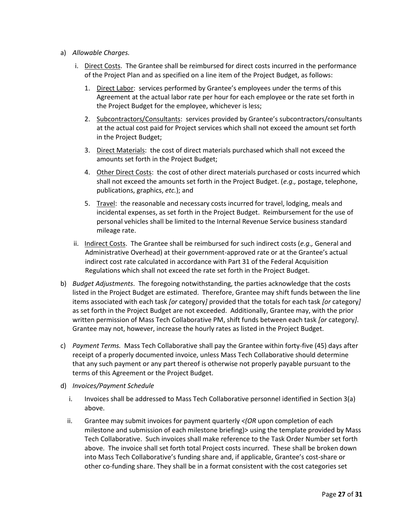- a) *Allowable Charges.*
	- i. Direct Costs. The Grantee shall be reimbursed for direct costs incurred in the performance of the Project Plan and as specified on a line item of the Project Budget, as follows:
		- 1. Direct Labor: services performed by Grantee's employees under the terms of this Agreement at the actual labor rate per hour for each employee or the rate set forth in the Project Budget for the employee, whichever is less;
		- 2. Subcontractors/Consultants: services provided by Grantee's subcontractors/consultants at the actual cost paid for Project services which shall not exceed the amount set forth in the Project Budget;
		- 3. Direct Materials: the cost of direct materials purchased which shall not exceed the amounts set forth in the Project Budget;
		- 4. Other Direct Costs: the cost of other direct materials purchased or costs incurred which shall not exceed the amounts set forth in the Project Budget. (*e.g.,* postage, telephone, publications, graphics, *etc.*); and
		- 5. Travel: the reasonable and necessary costs incurred for travel, lodging, meals and incidental expenses, as set forth in the Project Budget. Reimbursement for the use of personal vehicles shall be limited to the Internal Revenue Service business standard mileage rate.
	- ii. Indirect Costs. The Grantee shall be reimbursed for such indirect costs (*e.g.,* General and Administrative Overhead) at their government-approved rate or at the Grantee's actual indirect cost rate calculated in accordance with Part 31 of the Federal Acquisition Regulations which shall not exceed the rate set forth in the Project Budget.
- b) *Budget Adjustments*. The foregoing notwithstanding, the parties acknowledge that the costs listed in the Project Budget are estimated. Therefore, Grantee may shift funds between the line items associated with each task *[or* category*]* provided that the totals for each task *[or* category*]* as set forth in the Project Budget are not exceeded. Additionally, Grantee may, with the prior written permission of Mass Tech Collaborative PM, shift funds between each task *[or* category*]*. Grantee may not, however, increase the hourly rates as listed in the Project Budget.
- c) *Payment Terms.* Mass Tech Collaborative shall pay the Grantee within forty-five (45) days after receipt of a properly documented invoice, unless Mass Tech Collaborative should determine that any such payment or any part thereof is otherwise not properly payable pursuant to the terms of this Agreement or the Project Budget.
- d) *Invoices/Payment Schedule* 
	- i. Invoices shall be addressed to Mass Tech Collaborative personnel identified in Section 3(a) above.
	- ii. Grantee may submit invoices for payment quarterly *<(OR* upon completion of each milestone and submission of each milestone briefing)> using the template provided by Mass Tech Collaborative. Such invoices shall make reference to the Task Order Number set forth above. The invoice shall set forth total Project costs incurred. These shall be broken down into Mass Tech Collaborative's funding share and, if applicable, Grantee's cost-share or other co-funding share. They shall be in a format consistent with the cost categories set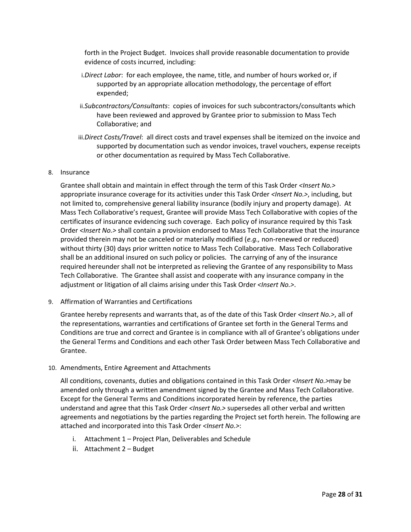forth in the Project Budget. Invoices shall provide reasonable documentation to provide evidence of costs incurred, including:

- i.*Direct Labor*: for each employee, the name, title, and number of hours worked or, if supported by an appropriate allocation methodology, the percentage of effort expended;
- ii.*Subcontractors/Consultants*: copies of invoices for such subcontractors/consultants which have been reviewed and approved by Grantee prior to submission to Mass Tech Collaborative; and
- iii.*Direct Costs/Travel*: all direct costs and travel expenses shall be itemized on the invoice and supported by documentation such as vendor invoices, travel vouchers, expense receipts or other documentation as required by Mass Tech Collaborative.

#### 8. Insurance

Grantee shall obtain and maintain in effect through the term of this Task Order *<Insert No.>* appropriate insurance coverage for its activities under this Task Order *<Insert No.>*, including, but not limited to, comprehensive general liability insurance (bodily injury and property damage). At Mass Tech Collaborative's request, Grantee will provide Mass Tech Collaborative with copies of the certificates of insurance evidencing such coverage. Each policy of insurance required by this Task Order *<Insert No.>* shall contain a provision endorsed to Mass Tech Collaborative that the insurance provided therein may not be canceled or materially modified (*e.g.,* non-renewed or reduced) without thirty (30) days prior written notice to Mass Tech Collaborative. Mass Tech Collaborative shall be an additional insured on such policy or policies. The carrying of any of the insurance required hereunder shall not be interpreted as relieving the Grantee of any responsibility to Mass Tech Collaborative. The Grantee shall assist and cooperate with any insurance company in the adjustment or litigation of all claims arising under this Task Order *<Insert No.>*.

#### 9. Affirmation of Warranties and Certifications

Grantee hereby represents and warrants that, as of the date of this Task Order *<Insert No.>*, all of the representations, warranties and certifications of Grantee set forth in the General Terms and Conditions are true and correct and Grantee is in compliance with all of Grantee's obligations under the General Terms and Conditions and each other Task Order between Mass Tech Collaborative and Grantee.

# 10. Amendments, Entire Agreement and Attachments

All conditions, covenants, duties and obligations contained in this Task Order *<Insert No.>*may be amended only through a written amendment signed by the Grantee and Mass Tech Collaborative. Except for the General Terms and Conditions incorporated herein by reference, the parties understand and agree that this Task Order *<Insert No.>* supersedes all other verbal and written agreements and negotiations by the parties regarding the Project set forth herein. The following are attached and incorporated into this Task Order *<Insert No.>*:

- i. Attachment 1 Project Plan, Deliverables and Schedule
- ii. Attachment 2 Budget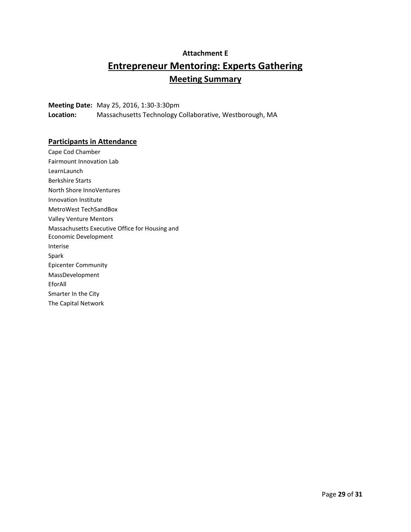# **Attachment E Entrepreneur Mentoring: Experts Gathering Meeting Summary**

**Meeting Date:** May 25, 2016, 1:30-3:30pm **Location:** Massachusetts Technology Collaborative, Westborough, MA

# **Participants in Attendance**

Cape Cod Chamber Fairmount Innovation Lab **LearnLaunch** Berkshire Starts North Shore InnoVentures Innovation Institute MetroWest TechSandBox Valley Venture Mentors Massachusetts Executive Office for Housing and Economic Development Interise Spark Epicenter Community MassDevelopment EforAll Smarter In the City The Capital Network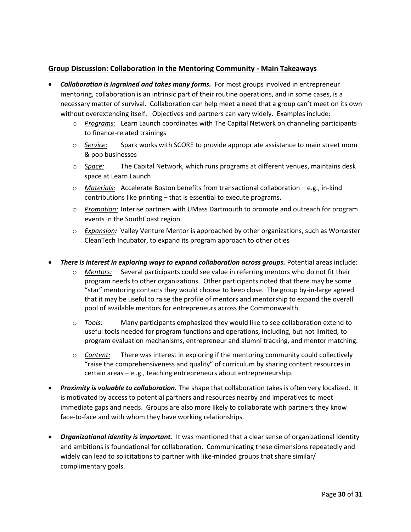# **Group Discussion: Collaboration in the Mentoring Community - Main Takeaways**

- *Collaboration is ingrained and takes many forms.* For most groups involved in entrepreneur mentoring, collaboration is an intrinsic part of their routine operations, and in some cases, is a necessary matter of survival. Collaboration can help meet a need that a group can't meet on its own without overextending itself. Objectives and partners can vary widely. Examples include:
	- o *Programs:* Learn Launch coordinates with The Capital Network on channeling participants to finance-related trainings
	- o *Service:* Spark works with SCORE to provide appropriate assistance to main street mom & pop businesses
	- o *Space:* The Capital Network, which runs programs at different venues, maintains desk space at Learn Launch
	- o *Materials:* Accelerate Boston benefits from transactional collaboration e.g., in-kind contributions like printing – that is essential to execute programs.
	- o *Promotion:* Interise partners with UMass Dartmouth to promote and outreach for program events in the SouthCoast region.
	- o *Expansion:* Valley Venture Mentor is approached by other organizations, such as Worcester CleanTech Incubator, to expand its program approach to other cities
- *There is interest in exploring ways to expand collaboration across groups.* Potential areas include:
	- o *Mentors:* Several participants could see value in referring mentors who do not fit their program needs to other organizations. Other participants noted that there may be some "star" mentoring contacts they would choose to keep close. The group by-in-large agreed that it may be useful to raise the profile of mentors and mentorship to expand the overall pool of available mentors for entrepreneurs across the Commonwealth.
	- o *Tools*: Many participants emphasized they would like to see collaboration extend to useful tools needed for program functions and operations, including, but not limited, to program evaluation mechanisms, entrepreneur and alumni tracking, and mentor matching.
	- o *Content:* There was interest in exploring if the mentoring community could collectively "raise the comprehensiveness and quality" of curriculum by sharing content resources in certain areas – e .g., teaching entrepreneurs about entrepreneurship.
- *Proximity is valuable to collaboration.* The shape that collaboration takes is often very localized. It is motivated by access to potential partners and resources nearby and imperatives to meet immediate gaps and needs. Groups are also more likely to collaborate with partners they know face-to-face and with whom they have working relationships.
- **•** Organizational identity is important. It was mentioned that a clear sense of organizational identity and ambitions is foundational for collaboration. Communicating these dimensions repeatedly and widely can lead to solicitations to partner with like-minded groups that share similar/ complimentary goals.